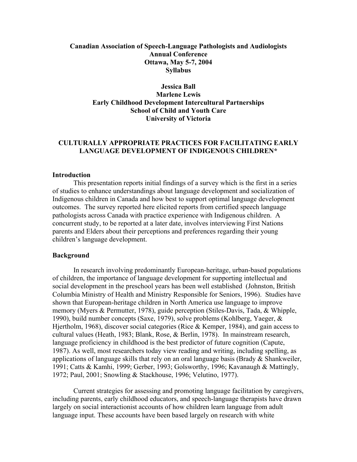## **Canadian Association of Speech-Language Pathologists and Audiologists Annual Conference Ottawa, May 5-7, 2004 Syllabus**

## **Jessica Ball Marlene Lewis Early Childhood Development Intercultural Partnerships School of Child and Youth Care University of Victoria**

## **CULTURALLY APPROPRIATE PRACTICES FOR FACILITATING EARLY LANGUAGE DEVELOPMENT OF INDIGENOUS CHILDREN\***

#### **Introduction**

This presentation reports initial findings of a survey which is the first in a series of studies to enhance understandings about language development and socialization of Indigenous children in Canada and how best to support optimal language development outcomes. The survey reported here elicited reports from certified speech language pathologists across Canada with practice experience with Indigenous children. A concurrent study, to be reported at a later date, involves interviewing First Nations parents and Elders about their perceptions and preferences regarding their young children's language development.

#### **Background**

In research involving predominantly European-heritage, urban-based populations of children, the importance of language development for supporting intellectual and social development in the preschool years has been well established (Johnston, British Columbia Ministry of Health and Ministry Responsible for Seniors, 1996). Studies have shown that European-heritage children in North America use language to improve memory (Myers & Permutter, 1978), guide perception (Stiles-Davis, Tada, & Whipple, 1990), build number concepts (Saxe, 1979), solve problems (Kohlberg, Yaeger, & Hjertholm, 1968), discover social categories (Rice & Kemper, 1984), and gain access to cultural values (Heath, 1983; Blank, Rose, & Berlin, 1978). In mainstream research, language proficiency in childhood is the best predictor of future cognition (Capute, 1987). As well, most researchers today view reading and writing, including spelling, as applications of language skills that rely on an oral language basis (Brady  $&$  Shankweiler, 1991; Catts & Kamhi, 1999; Gerber, 1993; Golsworthy, 1996; Kavanaugh & Mattingly, 1972; Paul, 2001; Snowling & Stackhouse, 1996; Velutino, 1977).

Current strategies for assessing and promoting language facilitation by caregivers, including parents, early childhood educators, and speech-language therapists have drawn largely on social interactionist accounts of how children learn language from adult language input. These accounts have been based largely on research with white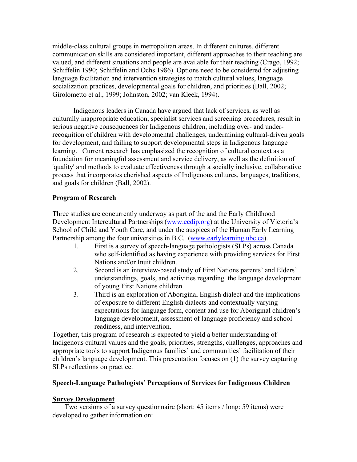middle-class cultural groups in metropolitan areas. In different cultures, different communication skills are considered important, different approaches to their teaching are valued, and different situations and people are available for their teaching (Crago, 1992; Schiffelin 1990; Schiffelin and Ochs 1986). Options need to be considered for adjusting language facilitation and intervention strategies to match cultural values, language socialization practices, developmental goals for children, and priorities (Ball, 2002; Girolometto et al., 1999; Johnston, 2002; van Kleek, 1994).

Indigenous leaders in Canada have argued that lack of services, as well as culturally inappropriate education, specialist services and screening procedures, result in serious negative consequences for Indigenous children, including over- and underrecognition of children with developmental challenges, undermining cultural-driven goals for development, and failing to support developmental steps in Indigenous language learning. Current research has emphasized the recognition of cultural context as a foundation for meaningful assessment and service delivery, as well as the definition of 'quality' and methods to evaluate effectiveness through a socially inclusive, collaborative process that incorporates cherished aspects of Indigenous cultures, languages, traditions, and goals for children (Ball, 2002).

## **Program of Research**

Three studies are concurrently underway as part of the and the Early Childhood Development Intercultural Partnerships [\(www.ecdip.org](http://www.ecdip.org/)) at the University of Victoria's School of Child and Youth Care, and under the auspices of the Human Early Learning Partnership among the four universities in B.C. ([www.earlylearning.ubc.ca\)](http://www.earlylearning.ubc.ca/).

- 1. First is a survey of speech-language pathologists (SLPs) across Canada who self-identified as having experience with providing services for First Nations and/or Inuit children.
- 2. Second is an interview-based study of First Nations parents' and Elders' understandings, goals, and activities regarding the language development of young First Nations children.
- 3. Third is an exploration of Aboriginal English dialect and the implications of exposure to different English dialects and contextually varying expectations for language form, content and use for Aboriginal children's language development, assessment of language proficiency and school readiness, and intervention.

Together, this program of research is expected to yield a better understanding of Indigenous cultural values and the goals, priorities, strengths, challenges, approaches and appropriate tools to support Indigenous families' and communities' facilitation of their children's language development. This presentation focuses on (1) the survey capturing SLPs reflections on practice.

# **Speech-Language Pathologists' Perceptions of Services for Indigenous Children**

# **Survey Development**

Two versions of a survey questionnaire (short: 45 items / long: 59 items) were developed to gather information on: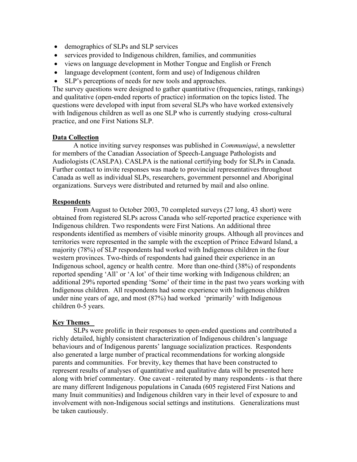- demographics of SLPs and SLP services
- services provided to Indigenous children, families, and communities
- views on language development in Mother Tongue and English or French
- language development (content, form and use) of Indigenous children
- SLP's perceptions of needs for new tools and approaches.

The survey questions were designed to gather quantitative (frequencies, ratings, rankings) and qualitative (open-ended reports of practice) information on the topics listed. The questions were developed with input from several SLPs who have worked extensively with Indigenous children as well as one SLP who is currently studying cross-cultural practice, and one First Nations SLP.

## **Data Collection**

A notice inviting survey responses was published in *Communiqué*, a newsletter for members of the Canadian Association of Speech-Language Pathologists and Audiologists (CASLPA). CASLPA is the national certifying body for SLPs in Canada. Further contact to invite responses was made to provincial representatives throughout Canada as well as individual SLPs, researchers, government personnel and Aboriginal organizations. Surveys were distributed and returned by mail and also online.

## **Respondents**

From August to October 2003, 70 completed surveys (27 long, 43 short) were obtained from registered SLPs across Canada who self-reported practice experience with Indigenous children. Two respondents were First Nations. An additional three respondents identified as members of visible minority groups. Although all provinces and territories were represented in the sample with the exception of Prince Edward Island, a majority (78%) of SLP respondents had worked with Indigenous children in the four western provinces. Two-thirds of respondents had gained their experience in an Indigenous school, agency or health centre. More than one-third (38%) of respondents reported spending 'All' or 'A lot' of their time working with Indigenous children; an additional 29% reported spending 'Some' of their time in the past two years working with Indigenous children. All respondents had some experience with Indigenous children under nine years of age, and most (87%) had worked 'primarily' with Indigenous children 0-5 years.

# **Key Themes**

SLPs were prolific in their responses to open-ended questions and contributed a richly detailed, highly consistent characterization of Indigenous children's language behaviours and of Indigenous parents' language socialization practices. Respondents also generated a large number of practical recommendations for working alongside parents and communities. For brevity, key themes that have been constructed to represent results of analyses of quantitative and qualitative data will be presented here along with brief commentary. One caveat - reiterated by many respondents - is that there are many different Indigenous populations in Canada (605 registered First Nations and many Inuit communities) and Indigenous children vary in their level of exposure to and involvement with non-Indigenous social settings and institutions. Generalizations must be taken cautiously.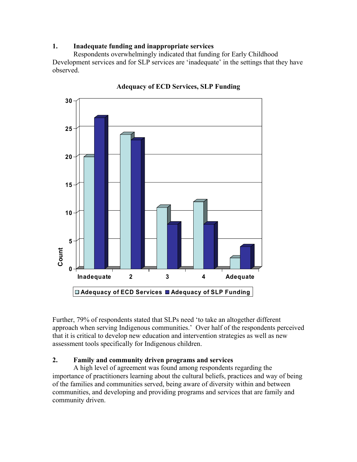# **1. Inadequate funding and inappropriate services**

Respondents overwhelmingly indicated that funding for Early Childhood Development services and for SLP services are 'inadequate' in the settings that they have observed.



**Adequacy of ECD Services, SLP Funding** 

Further, 79% of respondents stated that SLPs need 'to take an altogether different approach when serving Indigenous communities.' Over half of the respondents perceived that it is critical to develop new education and intervention strategies as well as new assessment tools specifically for Indigenous children.

# **2. Family and community driven programs and services**

A high level of agreement was found among respondents regarding the importance of practitioners learning about the cultural beliefs, practices and way of being of the families and communities served, being aware of diversity within and between communities, and developing and providing programs and services that are family and community driven.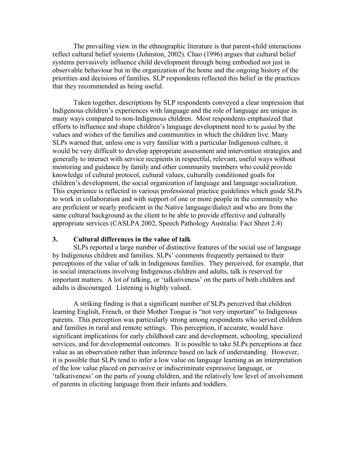The prevailing view in the ethnographic literature is that parent-child interactions reflect cultural belief systems (Johnston, 2002). Chao (1996) argues that cultural belief systems pervasively influence child development through being embodied not just in observable behaviour but in the organization of the home and the ongoing history of the priorities and decisions of families. SLP respondents reflected this belief in the practices that they recommended as being useful.

Taken together, descriptions by SLP respondents conveyed a clear impression that Indigenous children's experiences with language and the role of language are unique in many ways compared to non-Indigenous children. Most respondents emphasized that efforts to influence and shape children's language development need to be guided by the values and wishes of the families and communities in which the children live. Many SLPs warned that, unless one is very familiar with a particular Indigenous culture, it would be very difficult to develop appropriate assessment and intervention strategies and generally to interact with service recipients in respectful, relevant, useful ways without mentoring and guidance by family and other community members who could provide knowledge of cultural protocol, cultural values, culturally conditioned goals for children's development, the social organization of language and language socialization. This experience is reflected in various professional practice guidelines which guide SLPs to work in collaboration and with support of one or more people in the community who are proficient or nearly proficient in the Native language/dialect and who are from the same cultural background as the client to be able to provide effective and culturally appropriate services (CASLPA 2002, Speech Pathology Australia: Fact Sheet 2.4)

#### **3. Cultural differences in the value of talk**

SLPs reported a large number of distinctive features of the social use of language by Indigenous children and families. SLPs' comments frequently pertained to their perceptions of the value of talk in Indigenous families. They perceived, for example, that in social interactions involving Indigenous children and adults, talk is reserved for important matters. A lot of talking, or 'talkativeness' on the parts of both children and adults is discouraged. Listening is highly valued.

A striking finding is that a significant number of SLPs perceived that children learning English, French, or their Mother Tongue is "not very important" to Indigenous parents. This perception was particularly strong among respondents who served children and families in rural and remote settings. This perception, if accurate, would have significant implications for early childhood care and development, schooling, specialized services, and for developmental outcomes. It is possible to take SLPs perceptions at face value as an observation rather than inference based on lack of understanding. However, it is possible that SLPs tend to infer a low value on language learning as an interpretation of the low value placed on pervasive or indiscriminate expressive language, or 'talkativeness' on the parts of young children, and the relatively low level of involvement of parents in eliciting language from their infants and toddlers.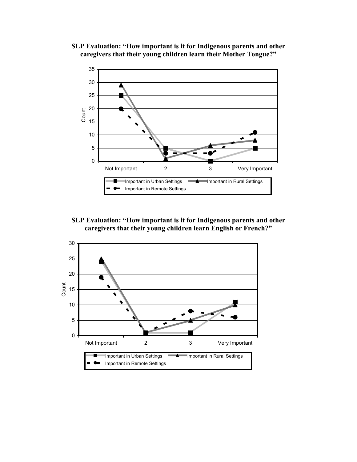**SLP Evaluation: "How important is it for Indigenous parents and other caregivers that their young children learn their Mother Tongue?"** 



**SLP Evaluation: "How important is it for Indigenous parents and other caregivers that their young children learn English or French?"** 

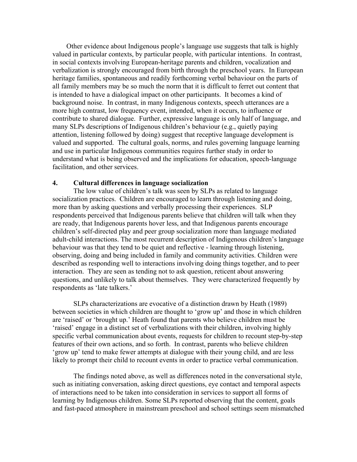Other evidence about Indigenous people's language use suggests that talk is highly valued in particular contexts, by particular people, with particular intentions. In contrast, in social contexts involving European-heritage parents and children, vocalization and verbalization is strongly encouraged from birth through the preschool years. In European heritage families, spontaneous and readily forthcoming verbal behaviour on the parts of all family members may be so much the norm that it is difficult to ferret out content that is intended to have a dialogical impact on other participants. It becomes a kind of background noise. In contrast, in many Indigenous contexts, speech utterances are a more high contrast, low frequency event, intended, when it occurs, to influence or contribute to shared dialogue. Further, expressive language is only half of language, and many SLPs descriptions of Indigenous children's behaviour (e.g., quietly paying attention, listening followed by doing) suggest that receptive language development is valued and supported. The cultural goals, norms, and rules governing language learning and use in particular Indigenous communities requires further study in order to understand what is being observed and the implications for education, speech-language facilitation, and other services.

#### **4. Cultural differences in language socialization**

The low value of children's talk was seen by SLPs as related to language socialization practices. Children are encouraged to learn through listening and doing, more than by asking questions and verbally processing their experiences. SLP respondents perceived that Indigenous parents believe that children will talk when they are ready, that Indigenous parents hover less, and that Indigenous parents encourage children's self-directed play and peer group socialization more than language mediated adult-child interactions. The most recurrent description of Indigenous children's language behaviour was that they tend to be quiet and reflective - learning through listening, observing, doing and being included in family and community activities. Children were described as responding well to interactions involving doing things together, and to peer interaction. They are seen as tending not to ask question, reticent about answering questions, and unlikely to talk about themselves. They were characterized frequently by respondents as 'late talkers.'

SLPs characterizations are evocative of a distinction drawn by Heath (1989) between societies in which children are thought to 'grow up' and those in which children are 'raised' or 'brought up.' Heath found that parents who believe children must be 'raised' engage in a distinct set of verbalizations with their children, involving highly specific verbal communication about events, requests for children to recount step-by-step features of their own actions, and so forth. In contrast, parents who believe children 'grow up' tend to make fewer attempts at dialogue with their young child, and are less likely to prompt their child to recount events in order to practice verbal communication.

The findings noted above, as well as differences noted in the conversational style, such as initiating conversation, asking direct questions, eye contact and temporal aspects of interactions need to be taken into consideration in services to support all forms of learning by Indigenous children. Some SLPs reported observing that the content, goals and fast-paced atmosphere in mainstream preschool and school settings seem mismatched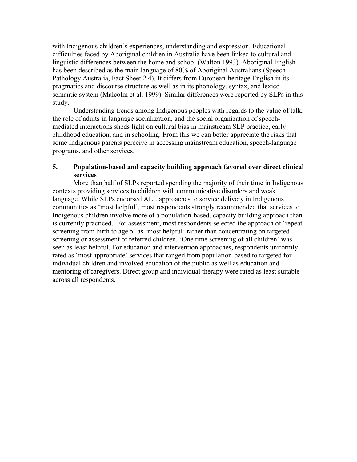with Indigenous children's experiences, understanding and expression. Educational difficulties faced by Aboriginal children in Australia have been linked to cultural and linguistic differences between the home and school (Walton 1993). Aboriginal English has been described as the main language of 80% of Aboriginal Australians (Speech Pathology Australia, Fact Sheet 2.4). It differs from European-heritage English in its pragmatics and discourse structure as well as in its phonology, syntax, and lexicosemantic system (Malcolm et al. 1999). Similar differences were reported by SLPs in this study.

Understanding trends among Indigenous peoples with regards to the value of talk, the role of adults in language socialization, and the social organization of speechmediated interactions sheds light on cultural bias in mainstream SLP practice, early childhood education, and in schooling. From this we can better appreciate the risks that some Indigenous parents perceive in accessing mainstream education, speech-language programs, and other services.

## **5. Population-based and capacity building approach favored over direct clinical services**

More than half of SLPs reported spending the majority of their time in Indigenous contexts providing services to children with communicative disorders and weak language. While SLPs endorsed ALL approaches to service delivery in Indigenous communities as 'most helpful', most respondents strongly recommended that services to Indigenous children involve more of a population-based, capacity building approach than is currently practiced. For assessment, most respondents selected the approach of 'repeat screening from birth to age 5' as 'most helpful' rather than concentrating on targeted screening or assessment of referred children. 'One time screening of all children' was seen as least helpful. For education and intervention approaches, respondents uniformly rated as 'most appropriate' services that ranged from population-based to targeted for individual children and involved education of the public as well as education and mentoring of caregivers. Direct group and individual therapy were rated as least suitable across all respondents.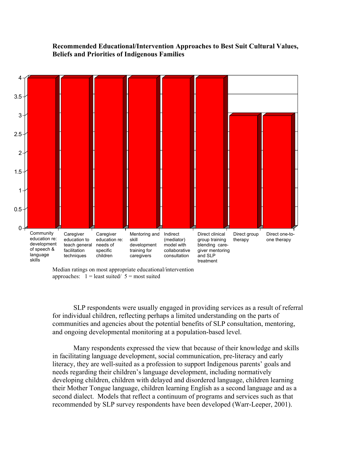#### **Recommended Educational/Intervention Approaches to Best Suit Cultural Values, Beliefs and Priorities of Indigenous Families**



Median ratings on most appropriate educational/intervention approaches:  $1 =$  least suited/  $5 =$  most suited

SLP respondents were usually engaged in providing services as a result of referral for individual children, reflecting perhaps a limited understanding on the parts of communities and agencies about the potential benefits of SLP consultation, mentoring, and ongoing developmental monitoring at a population-based level.

Many respondents expressed the view that because of their knowledge and skills in facilitating language development, social communication, pre-literacy and early literacy, they are well-suited as a profession to support Indigenous parents' goals and needs regarding their children's language development, including normatively developing children, children with delayed and disordered language, children learning their Mother Tongue language, children learning English as a second language and as a second dialect. Models that reflect a continuum of programs and services such as that recommended by SLP survey respondents have been developed (Warr-Leeper, 2001).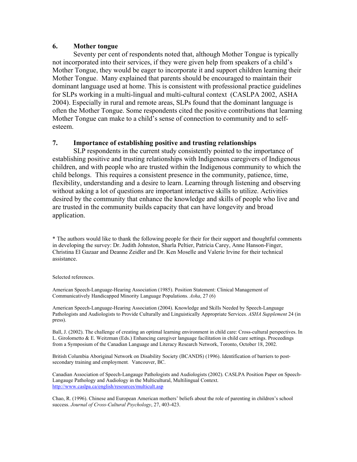### **6. Mother tongue**

 Seventy per cent of respondents noted that, although Mother Tongue is typically not incorporated into their services, if they were given help from speakers of a child's Mother Tongue, they would be eager to incorporate it and support children learning their Mother Tongue. Many explained that parents should be encouraged to maintain their dominant language used at home. This is consistent with professional practice guidelines for SLPs working in a multi-lingual and multi-cultural context (CASLPA 2002, ASHA 2004). Especially in rural and remote areas, SLPs found that the dominant language is often the Mother Tongue. Some respondents cited the positive contributions that learning Mother Tongue can make to a child's sense of connection to community and to selfesteem.

## **7. Importance of establishing positive and trusting relationships**

SLP respondents in the current study consistently pointed to the importance of establishing positive and trusting relationships with Indigenous caregivers of Indigenous children, and with people who are trusted within the Indigenous community to which the child belongs. This requires a consistent presence in the community, patience, time, flexibility, understanding and a desire to learn. Learning through listening and observing without asking a lot of questions are important interactive skills to utilize. Activities desired by the community that enhance the knowledge and skills of people who live and are trusted in the community builds capacity that can have longevity and broad application.

\* The authors would like to thank the following people for their for their support and thoughtful comments in developing the survey: Dr. Judith Johnston, Sharla Peltier, Patricia Carey, Anne Hanson-Finger, Christina El Gazaar and Deanne Zeidler and Dr. Ken Moselle and Valerie Irvine for their technical assistance.

#### Selected references.

American Speech-Language-Hearing Association (1985). Position Statement: Clinical Management of Communicatively Handicapped Minority Language Populations. *Asha*, 27 (6)

American Speech-Language-Hearing Association (2004). Knowledge and Skills Needed by Speech-Language Pathologists and Audiologists to Provide Culturally and Linguistically Appropriate Services. *ASHA Supplement* 24 (in press).

Ball, J. (2002). The challenge of creating an optimal learning environment in child care: Cross-cultural perspectives. In L. Girolometto & E. Weitzman (Eds.) Enhancing caregiver language facilitation in child care settings. Proceedings from a Symposium of the Canadian Language and Literacy Research Network, Toronto, October 18, 2002.

British Columbia Aboriginal Network on Disability Society (BCANDS) (1996). Identification of barriers to postsecondary training and employment*.* Vancouver, BC.

Canadian Association of Speech-Langauge Pathologists and Audiologists (2002). CASLPA Position Paper on Speech-Langauge Pathology and Audiology in the Multicultural, Multilingual Context. <http://www.caslpa.ca/english/resources/multicult.asp>

Chao, R. (1996). Chinese and European American mothers' beliefs about the role of parenting in children's school success. *Journal of Cross-Cultural Psychology*, 27, 403-423.